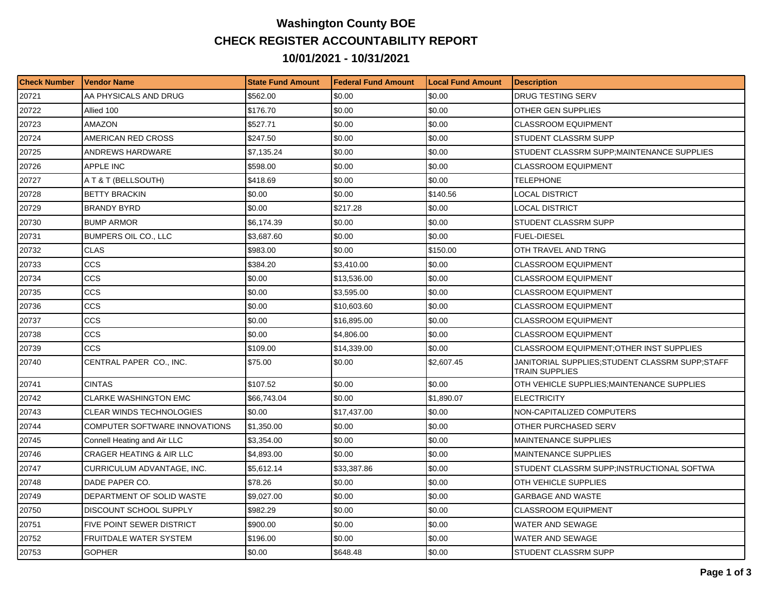## **Washington County BOE CHECK REGISTER ACCOUNTABILITY REPORT 10/01/2021 - 10/31/2021**

| <b>Check Number</b> | <b>Vendor Name</b>                  | <b>State Fund Amount</b> | <b>Federal Fund Amount</b> | <b>Local Fund Amount</b> | <b>Description</b>                                                      |
|---------------------|-------------------------------------|--------------------------|----------------------------|--------------------------|-------------------------------------------------------------------------|
| 20721               | AA PHYSICALS AND DRUG               | \$562.00                 | \$0.00                     | \$0.00                   | DRUG TESTING SERV                                                       |
| 20722               | Allied 100                          | \$176.70                 | \$0.00                     | \$0.00                   | OTHER GEN SUPPLIES                                                      |
| 20723               | <b>AMAZON</b>                       | \$527.71                 | \$0.00                     | \$0.00                   | <b>CLASSROOM EQUIPMENT</b>                                              |
| 20724               | AMERICAN RED CROSS                  | \$247.50                 | \$0.00                     | \$0.00                   | STUDENT CLASSRM SUPP                                                    |
| 20725               | ANDREWS HARDWARE                    | \$7,135.24               | \$0.00                     | \$0.00                   | STUDENT CLASSRM SUPP;MAINTENANCE SUPPLIES                               |
| 20726               | <b>APPLE INC</b>                    | \$598.00                 | \$0.00                     | \$0.00                   | <b>CLASSROOM EQUIPMENT</b>                                              |
| 20727               | A T & T (BELLSOUTH)                 | \$418.69                 | \$0.00                     | \$0.00                   | TELEPHONE                                                               |
| 20728               | <b>BETTY BRACKIN</b>                | \$0.00                   | \$0.00                     | \$140.56                 | <b>LOCAL DISTRICT</b>                                                   |
| 20729               | <b>BRANDY BYRD</b>                  | \$0.00                   | \$217.28                   | \$0.00                   | <b>LOCAL DISTRICT</b>                                                   |
| 20730               | <b>BUMP ARMOR</b>                   | \$6,174.39               | \$0.00                     | \$0.00                   | STUDENT CLASSRM SUPP                                                    |
| 20731               | <b>BUMPERS OIL CO., LLC</b>         | \$3,687.60               | \$0.00                     | \$0.00                   | <b>FUEL-DIESEL</b>                                                      |
| 20732               | <b>CLAS</b>                         | \$983.00                 | \$0.00                     | \$150.00                 | OTH TRAVEL AND TRNG                                                     |
| 20733               | <b>CCS</b>                          | \$384.20                 | \$3,410.00                 | \$0.00                   | CLASSROOM EQUIPMENT                                                     |
| 20734               | <b>CCS</b>                          | \$0.00                   | \$13,536.00                | \$0.00                   | <b>CLASSROOM EQUIPMENT</b>                                              |
| 20735               | CCS                                 | \$0.00                   | \$3,595.00                 | \$0.00                   | <b>CLASSROOM EQUIPMENT</b>                                              |
| 20736               | CCS                                 | \$0.00                   | \$10,603.60                | \$0.00                   | <b>CLASSROOM EQUIPMENT</b>                                              |
| 20737               | CCS                                 | \$0.00                   | \$16,895.00                | \$0.00                   | <b>CLASSROOM EQUIPMENT</b>                                              |
| 20738               | CCS                                 | \$0.00                   | \$4,806.00                 | \$0.00                   | CLASSROOM EQUIPMENT                                                     |
| 20739               | CCS                                 | \$109.00                 | \$14,339.00                | \$0.00                   | <b>CLASSROOM EQUIPMENT: OTHER INST SUPPLIES</b>                         |
| 20740               | CENTRAL PAPER CO., INC.             | \$75.00                  | \$0.00                     | \$2,607.45               | JANITORIAL SUPPLIES;STUDENT CLASSRM SUPP;STAFF<br><b>TRAIN SUPPLIES</b> |
| 20741               | <b>CINTAS</b>                       | \$107.52                 | \$0.00                     | \$0.00                   | OTH VEHICLE SUPPLIES; MAINTENANCE SUPPLIES                              |
| 20742               | <b>CLARKE WASHINGTON EMC</b>        | \$66,743.04              | \$0.00                     | \$1,890.07               | <b>ELECTRICITY</b>                                                      |
| 20743               | <b>CLEAR WINDS TECHNOLOGIES</b>     | \$0.00                   | \$17,437.00                | \$0.00                   | NON-CAPITALIZED COMPUTERS                                               |
| 20744               | COMPUTER SOFTWARE INNOVATIONS       | \$1,350.00               | \$0.00                     | \$0.00                   | OTHER PURCHASED SERV                                                    |
| 20745               | Connell Heating and Air LLC         | \$3,354.00               | \$0.00                     | \$0.00                   | <b>MAINTENANCE SUPPLIES</b>                                             |
| 20746               | <b>CRAGER HEATING &amp; AIR LLC</b> | \$4,893.00               | \$0.00                     | \$0.00                   | <b>MAINTENANCE SUPPLIES</b>                                             |
| 20747               | CURRICULUM ADVANTAGE, INC.          | \$5,612.14               | \$33,387.86                | \$0.00                   | STUDENT CLASSRM SUPP;INSTRUCTIONAL SOFTWA                               |
| 20748               | DADE PAPER CO.                      | \$78.26                  | \$0.00                     | \$0.00                   | OTH VEHICLE SUPPLIES                                                    |
| 20749               | DEPARTMENT OF SOLID WASTE           | \$9,027.00               | \$0.00                     | \$0.00                   | <b>GARBAGE AND WASTE</b>                                                |
| 20750               | DISCOUNT SCHOOL SUPPLY              | \$982.29                 | \$0.00                     | \$0.00                   | <b>CLASSROOM EQUIPMENT</b>                                              |
| 20751               | FIVE POINT SEWER DISTRICT           | \$900.00                 | \$0.00                     | \$0.00                   | WATER AND SEWAGE                                                        |
| 20752               | FRUITDALE WATER SYSTEM              | \$196.00                 | \$0.00                     | \$0.00                   | WATER AND SEWAGE                                                        |
| 20753               | <b>GOPHER</b>                       | \$0.00                   | \$648.48                   | \$0.00                   | STUDENT CLASSRM SUPP                                                    |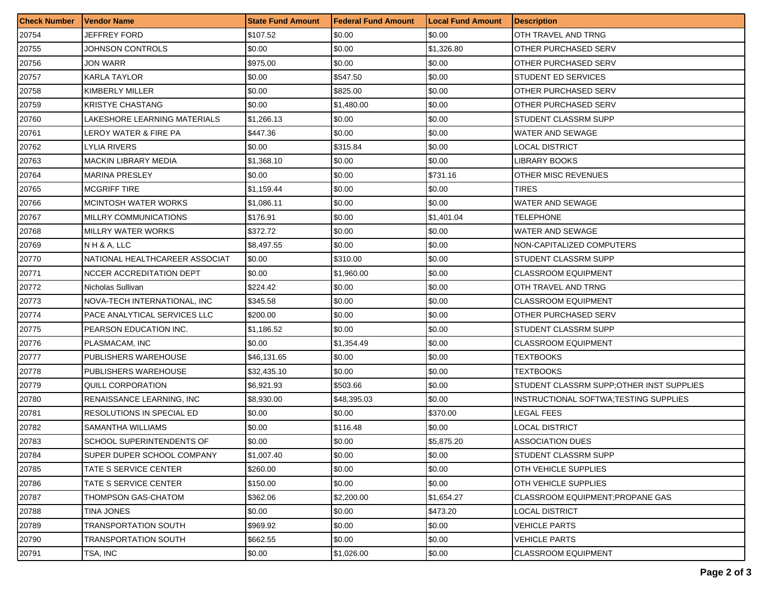| <b>Check Number</b> | <b>Vendor Name</b>             | <b>State Fund Amount</b> | <b>Federal Fund Amount</b> | <b>Local Fund Amount</b> | <b>Description</b>                        |
|---------------------|--------------------------------|--------------------------|----------------------------|--------------------------|-------------------------------------------|
| 20754               | JEFFREY FORD                   | \$107.52                 | \$0.00                     | \$0.00                   | OTH TRAVEL AND TRNG                       |
| 20755               | JOHNSON CONTROLS               | \$0.00                   | \$0.00                     | \$1,326.80               | OTHER PURCHASED SERV                      |
| 20756               | JON WARR                       | \$975.00                 | \$0.00                     | \$0.00                   | OTHER PURCHASED SERV                      |
| 20757               | KARLA TAYLOR                   | \$0.00                   | \$547.50                   | \$0.00                   | <b>STUDENT ED SERVICES</b>                |
| 20758               | KIMBERLY MILLER                | \$0.00                   | \$825.00                   | \$0.00                   | OTHER PURCHASED SERV                      |
| 20759               | <b>KRISTYE CHASTANG</b>        | \$0.00                   | \$1,480.00                 | \$0.00                   | OTHER PURCHASED SERV                      |
| 20760               | LAKESHORE LEARNING MATERIALS   | \$1,266.13               | \$0.00                     | \$0.00                   | STUDENT CLASSRM SUPP                      |
| 20761               | LEROY WATER & FIRE PA          | \$447.36                 | \$0.00                     | \$0.00                   | <b>WATER AND SEWAGE</b>                   |
| 20762               | <b>LYLIA RIVERS</b>            | \$0.00                   | \$315.84                   | \$0.00                   | LOCAL DISTRICT                            |
| 20763               | <b>MACKIN LIBRARY MEDIA</b>    | \$1,368.10               | \$0.00                     | \$0.00                   | LIBRARY BOOKS                             |
| 20764               | <b>MARINA PRESLEY</b>          | \$0.00                   | \$0.00                     | \$731.16                 | <b>OTHER MISC REVENUES</b>                |
| 20765               | <b>MCGRIFF TIRE</b>            | \$1,159.44               | \$0.00                     | \$0.00                   | TIRES                                     |
| 20766               | <b>MCINTOSH WATER WORKS</b>    | \$1,086.11               | \$0.00                     | \$0.00                   | WATER AND SEWAGE                          |
| 20767               | MILLRY COMMUNICATIONS          | \$176.91                 | \$0.00                     | \$1,401.04               | TELEPHONE                                 |
| 20768               | MILLRY WATER WORKS             | \$372.72                 | \$0.00                     | \$0.00                   | WATER AND SEWAGE                          |
| 20769               | IN H & A, LLC                  | \$8,497.55               | \$0.00                     | \$0.00                   | NON-CAPITALIZED COMPUTERS                 |
| 20770               | NATIONAL HEALTHCAREER ASSOCIAT | \$0.00                   | \$310.00                   | \$0.00                   | STUDENT CLASSRM SUPP                      |
| 20771               | NCCER ACCREDITATION DEPT       | \$0.00                   | \$1,960.00                 | \$0.00                   | <b>CLASSROOM EQUIPMENT</b>                |
| 20772               | Nicholas Sullivan              | \$224.42                 | \$0.00                     | \$0.00                   | OTH TRAVEL AND TRNG                       |
| 20773               | NOVA-TECH INTERNATIONAL, INC   | \$345.58                 | \$0.00                     | \$0.00                   | <b>CLASSROOM EQUIPMENT</b>                |
| 20774               | PACE ANALYTICAL SERVICES LLC   | \$200.00                 | \$0.00                     | \$0.00                   | OTHER PURCHASED SERV                      |
| 20775               | PEARSON EDUCATION INC.         | \$1,186.52               | \$0.00                     | \$0.00                   | STUDENT CLASSRM SUPP                      |
| 20776               | PLASMACAM, INC                 | \$0.00                   | \$1,354.49                 | \$0.00                   | <b>CLASSROOM EQUIPMENT</b>                |
| 20777               | PUBLISHERS WAREHOUSE           | \$46,131.65              | \$0.00                     | \$0.00                   | TEXTBOOKS                                 |
| 20778               | PUBLISHERS WAREHOUSE           | \$32,435.10              | \$0.00                     | \$0.00                   | TEXTBOOKS                                 |
| 20779               | QUILL CORPORATION              | \$6,921.93               | \$503.66                   | \$0.00                   | STUDENT CLASSRM SUPP; OTHER INST SUPPLIES |
| 20780               | RENAISSANCE LEARNING, INC.     | \$8,930.00               | \$48,395.03                | \$0.00                   | INSTRUCTIONAL SOFTWA;TESTING SUPPLIES     |
| 20781               | RESOLUTIONS IN SPECIAL ED      | \$0.00                   | \$0.00                     | \$370.00                 | <b>LEGAL FEES</b>                         |
| 20782               | SAMANTHA WILLIAMS              | \$0.00                   | \$116.48                   | \$0.00                   | LOCAL DISTRICT                            |
| 20783               | SCHOOL SUPERINTENDENTS OF      | \$0.00                   | \$0.00                     | \$5,875.20               | <b>ASSOCIATION DUES</b>                   |
| 20784               | SUPER DUPER SCHOOL COMPANY     | \$1,007.40               | \$0.00                     | \$0.00                   | <b>STUDENT CLASSRM SUPP</b>               |
| 20785               | TATE S SERVICE CENTER          | \$260.00                 | \$0.00                     | \$0.00                   | OTH VEHICLE SUPPLIES                      |
| 20786               | TATE S SERVICE CENTER          | \$150.00                 | \$0.00                     | \$0.00                   | OTH VEHICLE SUPPLIES                      |
| 20787               | THOMPSON GAS-CHATOM            | \$362.06                 | \$2,200.00                 | \$1,654.27               | <b>CLASSROOM EQUIPMENT; PROPANE GAS</b>   |
| 20788               | TINA JONES                     | \$0.00                   | \$0.00                     | \$473.20                 | LOCAL DISTRICT                            |
| 20789               | TRANSPORTATION SOUTH           | \$969.92                 | \$0.00                     | \$0.00                   | VEHICLE PARTS                             |
| 20790               | TRANSPORTATION SOUTH           | \$662.55                 | \$0.00                     | \$0.00                   | <b>VEHICLE PARTS</b>                      |
| 20791               | TSA, INC                       | \$0.00                   | \$1,026.00                 | \$0.00                   | <b>CLASSROOM EQUIPMENT</b>                |